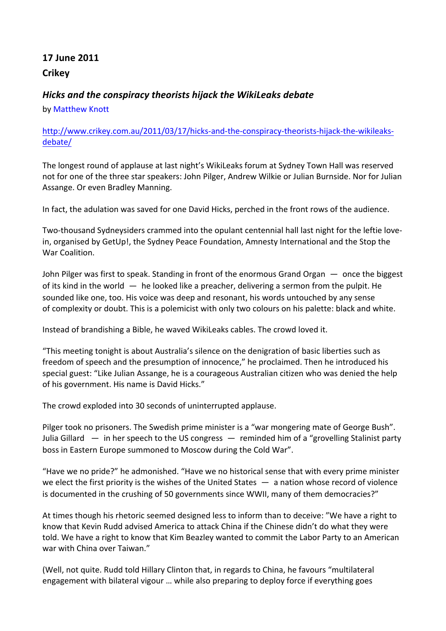## **17#June#2011 Crikey**

## *Hicks&and&the&conspiracy&theorists&hijack&the&WikiLeaks debate*

by Matthew Knott

## http://www.crikey.com.au/2011/03/17/hicks-and-the-conspiracy-theorists-hijack-the-wikileaksdebate/

The longest round of applause at last night's WikiLeaks forum at Sydney Town Hall was reserved not for one of the three star speakers: John Pilger, Andrew Wilkie or Julian Burnside. Nor for Julian Assange. Or even Bradley Manning.

In fact, the adulation was saved for one David Hicks, perched in the front rows of the audience.

Two-thousand Sydneysiders crammed into the opulant centennial hall last night for the leftie lovein, organised by GetUp!, the Sydney Peace Foundation, Amnesty International and the Stop the War Coalition.

John Pilger was first to speak. Standing in front of the enormous Grand Organ  $-$  once the biggest of its kind in the world  $-$  he looked like a preacher, delivering a sermon from the pulpit. He sounded like one, too. His voice was deep and resonant, his words untouched by any sense of complexity or doubt. This is a polemicist with only two colours on his palette: black and white.

Instead of brandishing a Bible, he waved WikiLeaks cables. The crowd loved it.

"This meeting tonight is about Australia's silence on the denigration of basic liberties such as freedom of speech and the presumption of innocence," he proclaimed. Then he introduced his special guest: "Like Julian Assange, he is a courageous Australian citizen who was denied the help of his government. His name is David Hicks."

The crowd exploded into 30 seconds of uninterrupted applause.

Pilger took no prisoners. The Swedish prime minister is a "war mongering mate of George Bush". Julia Gillard  $-$  in her speech to the US congress  $-$  reminded him of a "grovelling Stalinist party boss in Eastern Europe summoned to Moscow during the Cold War".

"Have we no pride?" he admonished. "Have we no historical sense that with every prime minister we elect the first priority is the wishes of the United States  $-$  a nation whose record of violence is documented in the crushing of 50 governments since WWII, many of them democracies?"

At times though his rhetoric seemed designed less to inform than to deceive: "We have a right to know that Kevin Rudd advised America to attack China if the Chinese didn't do what they were told. We have a right to know that Kim Beazley wanted to commit the Labor Party to an American war with China over Taiwan."

(Well, not quite. Rudd told Hillary Clinton that, in regards to China, he favours "multilateral engagement with bilateral vigour ... while also preparing to deploy force if everything goes